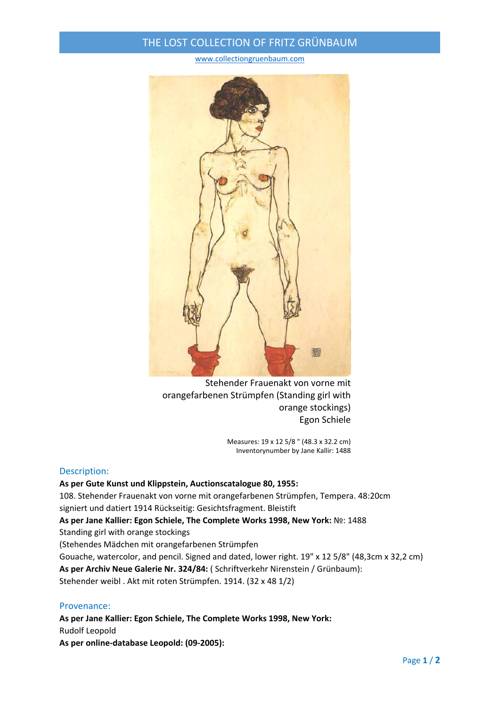## THE LOST COLLECTION OF FRITZ GRÜNBAUM

#### www.collectiongruenbaum.com



Stehender Frauenakt von vorne mit orangefarbenen Strümpfen (Standing girl with orange stockings) Egon Schiele

> Measures: 19 x 12 5/8 " (48.3 x 32.2 cm) Inventorynumber by Jane Kallir: 1488

### Description:

**As per Gute Kunst und Klippstein, Auctionscatalogue 80, 1955:** 108. Stehender Frauenakt von vorne mit orangefarbenen Strümpfen, Tempera. 48:20cm signiert und datiert 1914 Rückseitig: Gesichtsfragment. Bleistift **As per Jane Kallier: Egon Schiele, The Complete Works 1998, New York:** №: 1488 Standing girl with orange stockings (Stehendes Mädchen mit orangefarbenen Strümpfen Gouache, watercolor, and pencil. Signed and dated, lower right. 19" x 12 5/8" (48,3cm x 32,2 cm) **As per Archiv Neue Galerie Nr. 324/84:** ( Schriftverkehr Nirenstein / Grünbaum): Stehender weibl . Akt mit roten Strümpfen. 1914. (32 x 48 1/2)

### Provenance:

**As per Jane Kallier: Egon Schiele, The Complete Works 1998, New York:** Rudolf Leopold **As per online‐database Leopold: (09‐2005):**